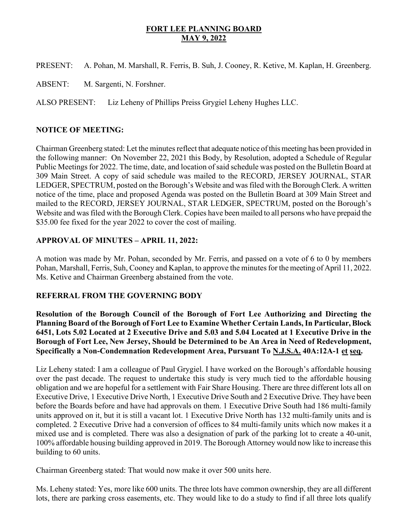## FORT LEE PLANNING BOARD MAY 9, 2022

PRESENT: A. Pohan, M. Marshall, R. Ferris, B. Suh, J. Cooney, R. Ketive, M. Kaplan, H. Greenberg.

ABSENT: M. Sargenti, N. Forshner.

ALSO PRESENT: Liz Leheny of Phillips Preiss Grygiel Leheny Hughes LLC.

## NOTICE OF MEETING:

Chairman Greenberg stated: Let the minutes reflect that adequate notice of this meeting has been provided in the following manner: On November 22, 2021 this Body, by Resolution, adopted a Schedule of Regular Public Meetings for 2022. The time, date, and location of said schedule was posted on the Bulletin Board at 309 Main Street. A copy of said schedule was mailed to the RECORD, JERSEY JOURNAL, STAR LEDGER, SPECTRUM, posted on the Borough's Website and was filed with the Borough Clerk. A written notice of the time, place and proposed Agenda was posted on the Bulletin Board at 309 Main Street and mailed to the RECORD, JERSEY JOURNAL, STAR LEDGER, SPECTRUM, posted on the Borough's Website and was filed with the Borough Clerk. Copies have been mailed to all persons who have prepaid the \$35.00 fee fixed for the year 2022 to cover the cost of mailing.

# APPROVAL OF MINUTES – APRIL 11, 2022:

A motion was made by Mr. Pohan, seconded by Mr. Ferris, and passed on a vote of 6 to 0 by members Pohan, Marshall, Ferris, Suh, Cooney and Kaplan, to approve the minutes for the meeting of April 11, 2022. Ms. Ketive and Chairman Greenberg abstained from the vote.

## REFERRAL FROM THE GOVERNING BODY

Resolution of the Borough Council of the Borough of Fort Lee Authorizing and Directing the Planning Board of the Borough of Fort Lee to Examine Whether Certain Lands, In Particular, Block 6451, Lots 5.02 Located at 2 Executive Drive and 5.03 and 5.04 Located at 1 Executive Drive in the Borough of Fort Lee, New Jersey, Should be Determined to be An Area in Need of Redevelopment, Specifically a Non-Condemnation Redevelopment Area, Pursuant To N.J.S.A. 40A:12A-1 et seq.

Liz Leheny stated: I am a colleague of Paul Grygiel. I have worked on the Borough's affordable housing over the past decade. The request to undertake this study is very much tied to the affordable housing obligation and we are hopeful for a settlement with Fair Share Housing. There are three different lots all on Executive Drive, 1 Executive Drive North, 1 Executive Drive South and 2 Executive Drive. They have been before the Boards before and have had approvals on them. 1 Executive Drive South had 186 multi-family units approved on it, but it is still a vacant lot. 1 Executive Drive North has 132 multi-family units and is completed. 2 Executive Drive had a conversion of offices to 84 multi-family units which now makes it a mixed use and is completed. There was also a designation of park of the parking lot to create a 40-unit, 100% affordable housing building approved in 2019. The Borough Attorney would now like to increase this building to 60 units.

Chairman Greenberg stated: That would now make it over 500 units here.

Ms. Leheny stated: Yes, more like 600 units. The three lots have common ownership, they are all different lots, there are parking cross easements, etc. They would like to do a study to find if all three lots qualify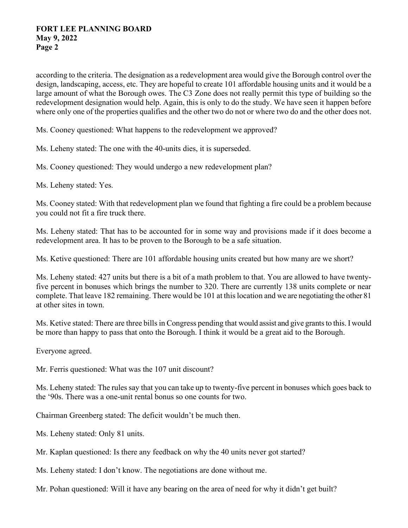#### FORT LEE PLANNING BOARD May 9, 2022 Page 2

according to the criteria. The designation as a redevelopment area would give the Borough control over the design, landscaping, access, etc. They are hopeful to create 101 affordable housing units and it would be a large amount of what the Borough owes. The C3 Zone does not really permit this type of building so the redevelopment designation would help. Again, this is only to do the study. We have seen it happen before where only one of the properties qualifies and the other two do not or where two do and the other does not.

Ms. Cooney questioned: What happens to the redevelopment we approved?

Ms. Leheny stated: The one with the 40-units dies, it is superseded.

Ms. Cooney questioned: They would undergo a new redevelopment plan?

Ms. Leheny stated: Yes.

Ms. Cooney stated: With that redevelopment plan we found that fighting a fire could be a problem because you could not fit a fire truck there.

Ms. Leheny stated: That has to be accounted for in some way and provisions made if it does become a redevelopment area. It has to be proven to the Borough to be a safe situation.

Ms. Ketive questioned: There are 101 affordable housing units created but how many are we short?

Ms. Leheny stated: 427 units but there is a bit of a math problem to that. You are allowed to have twentyfive percent in bonuses which brings the number to 320. There are currently 138 units complete or near complete. That leave 182 remaining. There would be 101 at this location and we are negotiating the other 81 at other sites in town.

Ms. Ketive stated: There are three bills in Congress pending that would assist and give grants to this. I would be more than happy to pass that onto the Borough. I think it would be a great aid to the Borough.

Everyone agreed.

Mr. Ferris questioned: What was the 107 unit discount?

Ms. Leheny stated: The rules say that you can take up to twenty-five percent in bonuses which goes back to the '90s. There was a one-unit rental bonus so one counts for two.

Chairman Greenberg stated: The deficit wouldn't be much then.

Ms. Leheny stated: Only 81 units.

Mr. Kaplan questioned: Is there any feedback on why the 40 units never got started?

Ms. Leheny stated: I don't know. The negotiations are done without me.

Mr. Pohan questioned: Will it have any bearing on the area of need for why it didn't get built?